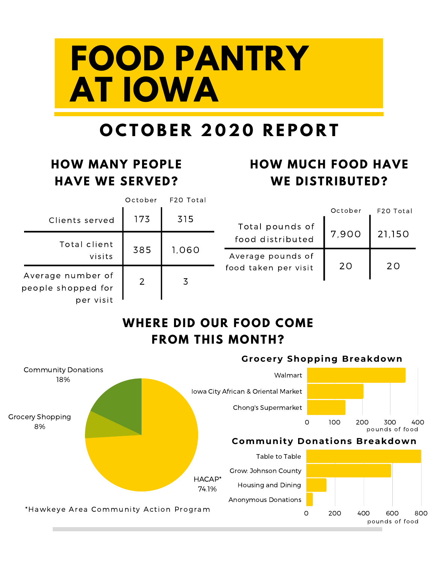# **FOOD PANTRY AT IOWA**

## **O C T O B E R 2 0 2 0 R E P O R T**

#### **HOW MANY PEOPLE HAVE WE SERVED?**

### **HOW MUCH FOOD HAVE WE DISTRIBUTED?**

|                                                      | October | F20 Total |                      |         |           |
|------------------------------------------------------|---------|-----------|----------------------|---------|-----------|
| Clients served                                       | 173     | 315       |                      | October | F20 Total |
|                                                      |         |           | Total pounds of      |         |           |
| Total client<br>visits                               | 385     | 1,060     | food distributed     | 7,900   | 21,150    |
|                                                      |         |           | Average pounds of    |         |           |
| Average number of<br>people shopped for<br>per visit | 2       | 3         | food taken per visit | 20      | 20        |
|                                                      |         |           |                      |         |           |

#### **WHERE DID OUR FOOD COME FROM THIS MONTH?**

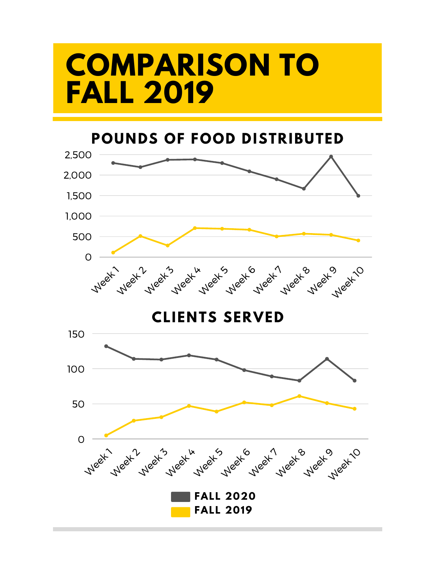## **COMPARISON TO FALL 2019**